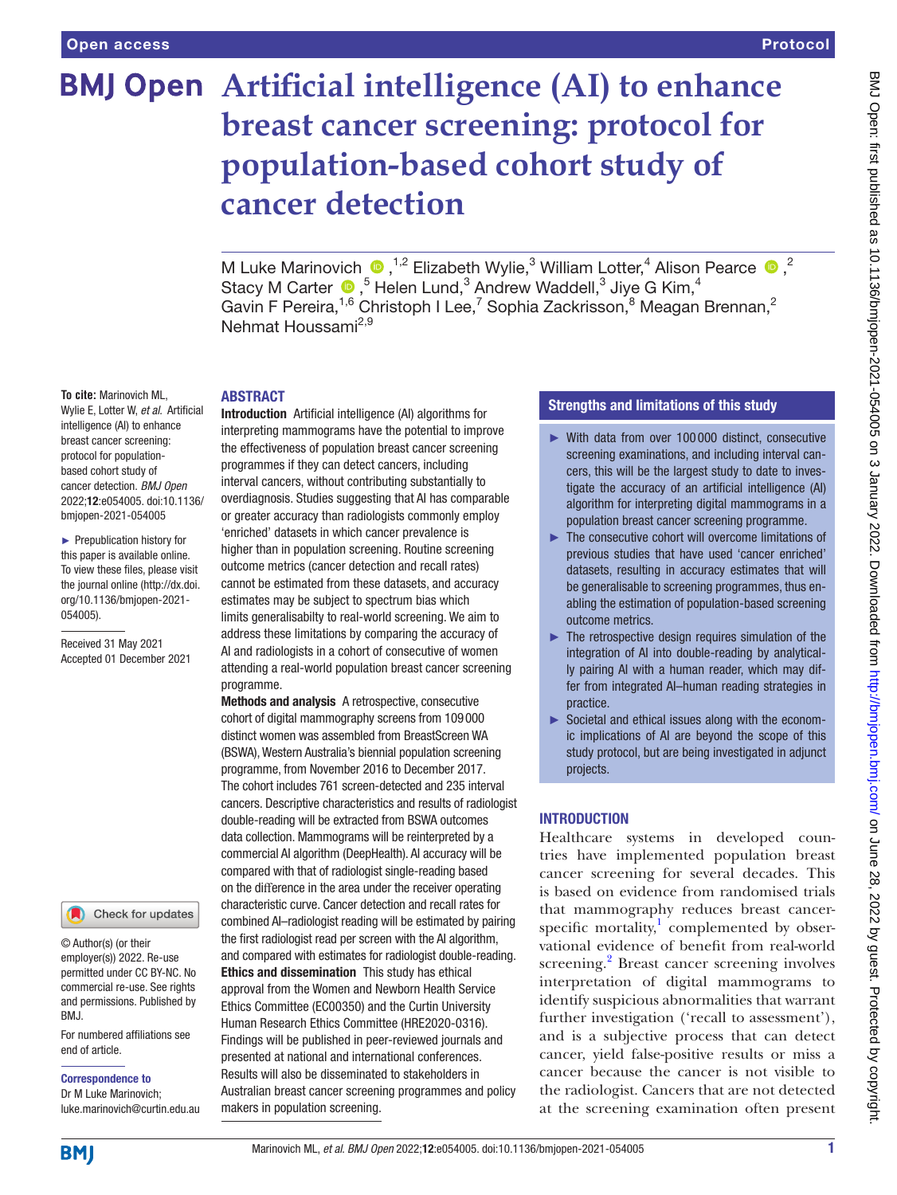# **BMJ Open** Artificial intelligence (AI) to enhance **breast cancer screening: protocol for population-based cohort study of cancer detection**

MLuke Marinovich  $\bullet$ , <sup>1,2</sup> Elizabeth Wylie,<sup>3</sup> William Lotter,<sup>4</sup> Alison Pearce  $\bullet$ ,<sup>2</sup> StacyM Carter  $\bigcirc$ , <sup>5</sup> Helen Lund, <sup>3</sup> Andrew Waddell, <sup>3</sup> Jiye G Kim, <sup>4</sup> Gavin F Pereira,<sup>1,6</sup> Christoph I Lee,<sup>7</sup> Sophia Zackrisson,<sup>8</sup> Meagan Brennan,<sup>2</sup> Nehmat Houssami<sup>2,9</sup>

#### ABSTRACT

Wylie E, Lotter W, *et al*. Artificial intelligence (AI) to enhance breast cancer screening: protocol for populationbased cohort study of cancer detection. *BMJ Open* 2022;12:e054005. doi:10.1136/ bmjopen-2021-054005

**To cite:** Marinovich ML,

► Prepublication history for this paper is available online. To view these files, please visit the journal online [\(http://dx.doi.](http://dx.doi.org/10.1136/bmjopen-2021-054005) [org/10.1136/bmjopen-2021-](http://dx.doi.org/10.1136/bmjopen-2021-054005) [054005\)](http://dx.doi.org/10.1136/bmjopen-2021-054005).

Received 31 May 2021 Accepted 01 December 2021



© Author(s) (or their employer(s)) 2022. Re-use permitted under CC BY-NC. No commercial re-use. See rights and permissions. Published by BMJ.

For numbered affiliations see end of article.

Correspondence to Dr M Luke Marinovich;

luke.marinovich@curtin.edu.au

Introduction Artificial intelligence (AI) algorithms for interpreting mammograms have the potential to improve the effectiveness of population breast cancer screening programmes if they can detect cancers, including interval cancers, without contributing substantially to overdiagnosis. Studies suggesting that AI has comparable or greater accuracy than radiologists commonly employ 'enriched' datasets in which cancer prevalence is higher than in population screening. Routine screening outcome metrics (cancer detection and recall rates) cannot be estimated from these datasets, and accuracy estimates may be subject to spectrum bias which limits generalisabilty to real-world screening. We aim to address these limitations by comparing the accuracy of AI and radiologists in a cohort of consecutive of women attending a real-world population breast cancer screening programme.

Methods and analysis A retrospective, consecutive cohort of digital mammography screens from 109000 distinct women was assembled from BreastScreen WA (BSWA), Western Australia's biennial population screening programme, from November 2016 to December 2017. The cohort includes 761 screen-detected and 235 interval cancers. Descriptive characteristics and results of radiologist double-reading will be extracted from BSWA outcomes data collection. Mammograms will be reinterpreted by a commercial AI algorithm (DeepHealth). AI accuracy will be compared with that of radiologist single-reading based on the difference in the area under the receiver operating characteristic curve. Cancer detection and recall rates for combined AI–radiologist reading will be estimated by pairing the first radiologist read per screen with the AI algorithm, and compared with estimates for radiologist double-reading. Ethics and dissemination This study has ethical approval from the Women and Newborn Health Service Ethics Committee (EC00350) and the Curtin University Human Research Ethics Committee (HRE2020-0316). Findings will be published in peer-reviewed journals and presented at national and international conferences. Results will also be disseminated to stakeholders in Australian breast cancer screening programmes and policy makers in population screening.

# Strengths and limitations of this study

- ► With data from over 100 000 distinct, consecutive screening examinations, and including interval cancers, this will be the largest study to date to investigate the accuracy of an artificial intelligence (AI) algorithm for interpreting digital mammograms in a population breast cancer screening programme.
- ► The consecutive cohort will overcome limitations of previous studies that have used 'cancer enriched' datasets, resulting in accuracy estimates that will be generalisable to screening programmes, thus enabling the estimation of population-based screening outcome metrics.
- ► The retrospective design requires simulation of the integration of AI into double-reading by analytically pairing AI with a human reader, which may differ from integrated AI–human reading strategies in practice.
- ► Societal and ethical issues along with the economic implications of AI are beyond the scope of this study protocol, but are being investigated in adjunct projects.

# **INTRODUCTION**

Healthcare systems in developed countries have implemented population breast cancer screening for several decades. This is based on evidence from randomised trials that mammography reduces breast cancerspecific mortality, $\frac{1}{2}$  $\frac{1}{2}$  $\frac{1}{2}$  complemented by observational evidence of benefit from real-world screening.<sup>[2](#page-6-1)</sup> Breast cancer screening involves interpretation of digital mammograms to identify suspicious abnormalities that warrant further investigation ('recall to assessment'), and is a subjective process that can detect cancer, yield false-positive results or miss a cancer because the cancer is not visible to the radiologist. Cancers that are not detected at the screening examination often present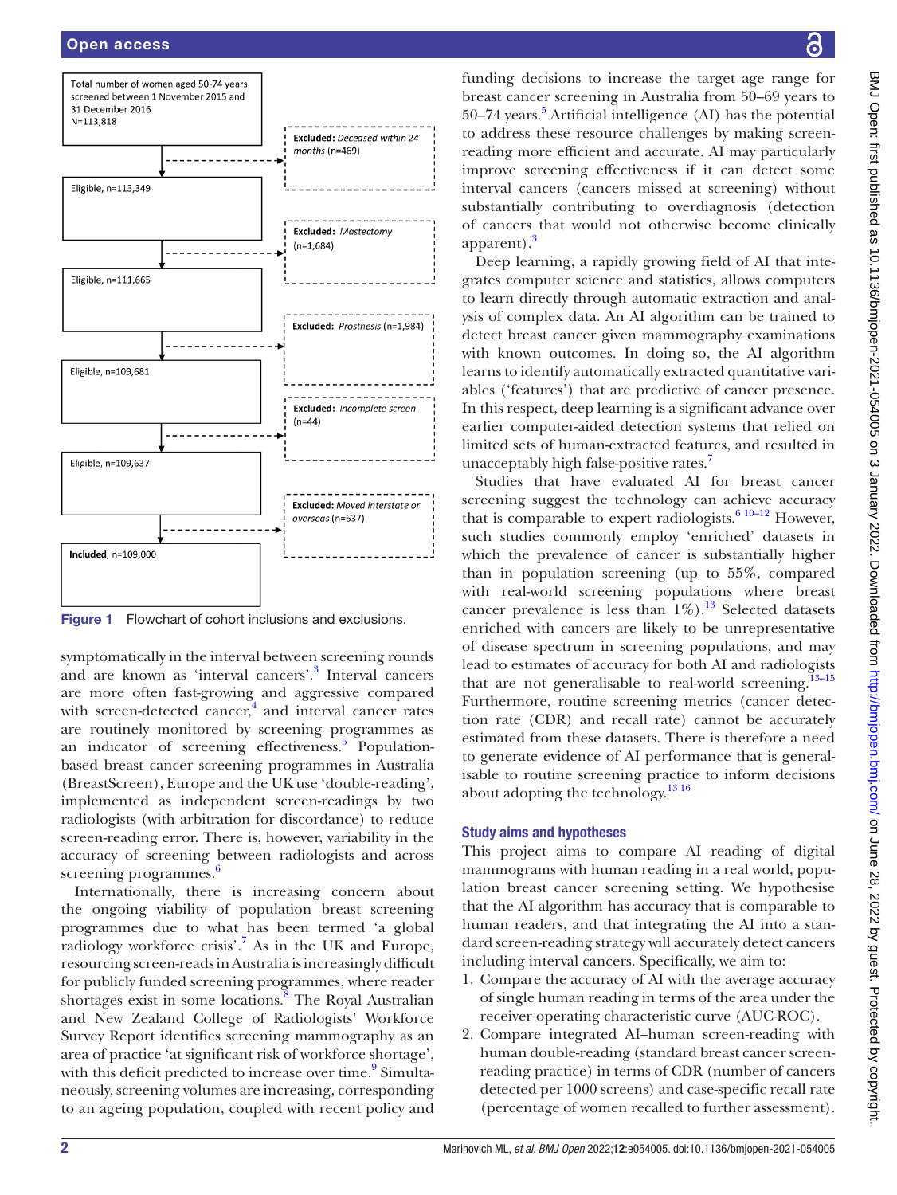

<span id="page-1-0"></span>Figure 1 Flowchart of cohort inclusions and exclusions.

symptomatically in the interval between screening rounds and are known as 'interval cancers'[.3](#page-6-2) Interval cancers are more often fast-growing and aggressive compared with screen-detected cancer,<sup>[4](#page-6-3)</sup> and interval cancer rates are routinely monitored by screening programmes as an indicator of screening effectiveness.<sup>5</sup> Populationbased breast cancer screening programmes in Australia (BreastScreen), Europe and the UK use 'double-reading', implemented as independent screen-readings by two radiologists (with arbitration for discordance) to reduce screen-reading error. There is, however, variability in the accuracy of screening between radiologists and across screening programmes.<sup>[6](#page-6-5)</sup>

Internationally, there is increasing concern about the ongoing viability of population breast screening programmes due to what has been termed 'a global radiology workforce crisis'.<sup>7</sup> As in the UK and Europe, resourcing screen-reads in Australia is increasingly difficult for publicly funded screening programmes, where reader shortages exist in some locations.<sup>[8](#page-7-1)</sup> The Royal Australian and New Zealand College of Radiologists' Workforce Survey Report identifies screening mammography as an area of practice 'at significant risk of workforce shortage', with this deficit predicted to increase over time.<sup>[9](#page-7-2)</sup> Simultaneously, screening volumes are increasing, corresponding to an ageing population, coupled with recent policy and

funding decisions to increase the target age range for breast cancer screening in Australia from 50–69 years to [5](#page-6-4)0–74 years.<sup>5</sup> Artificial intelligence (AI) has the potential to address these resource challenges by making screenreading more efficient and accurate. AI may particularly improve screening effectiveness if it can detect some interval cancers (cancers missed at screening) without substantially contributing to overdiagnosis (detection of cancers that would not otherwise become clinically apparent).<sup>[3](#page-6-2)</sup>

Deep learning, a rapidly growing field of AI that integrates computer science and statistics, allows computers to learn directly through automatic extraction and analysis of complex data. An AI algorithm can be trained to detect breast cancer given mammography examinations with known outcomes. In doing so, the AI algorithm learns to identify automatically extracted quantitative variables ('features') that are predictive of cancer presence. In this respect, deep learning is a significant advance over earlier computer-aided detection systems that relied on limited sets of human-extracted features, and resulted in unacceptably high false-positive rates.<sup>[7](#page-7-0)</sup>

Studies that have evaluated AI for breast cancer screening suggest the technology can achieve accuracy that is comparable to expert radiologists.<sup>6 10–12</sup> However, such studies commonly employ 'enriched' datasets in which the prevalence of cancer is substantially higher than in population screening (up to 55%, compared with real-world screening populations where breast cancer prevalence is less than  $1\%$ ).<sup>[13](#page-7-3)</sup> Selected datasets enriched with cancers are likely to be unrepresentative of disease spectrum in screening populations, and may lead to estimates of accuracy for both AI and radiologists that are not generalisable to real-world screening.<sup>[13–15](#page-7-3)</sup> Furthermore, routine screening metrics (cancer detection rate (CDR) and recall rate) cannot be accurately estimated from these datasets. There is therefore a need to generate evidence of AI performance that is generalisable to routine screening practice to inform decisions about adopting the technology. $1316$ 

# Study aims and hypotheses

This project aims to compare AI reading of digital mammograms with human reading in a real world, population breast cancer screening setting. We hypothesise that the AI algorithm has accuracy that is comparable to human readers, and that integrating the AI into a standard screen-reading strategy will accurately detect cancers including interval cancers. Specifically, we aim to:

- 1. Compare the accuracy of AI with the average accuracy of single human reading in terms of the area under the receiver operating characteristic curve (AUC-ROC).
- 2. Compare integrated AI–human screen-reading with human double-reading (standard breast cancer screenreading practice) in terms of CDR (number of cancers detected per 1000 screens) and case-specific recall rate (percentage of women recalled to further assessment).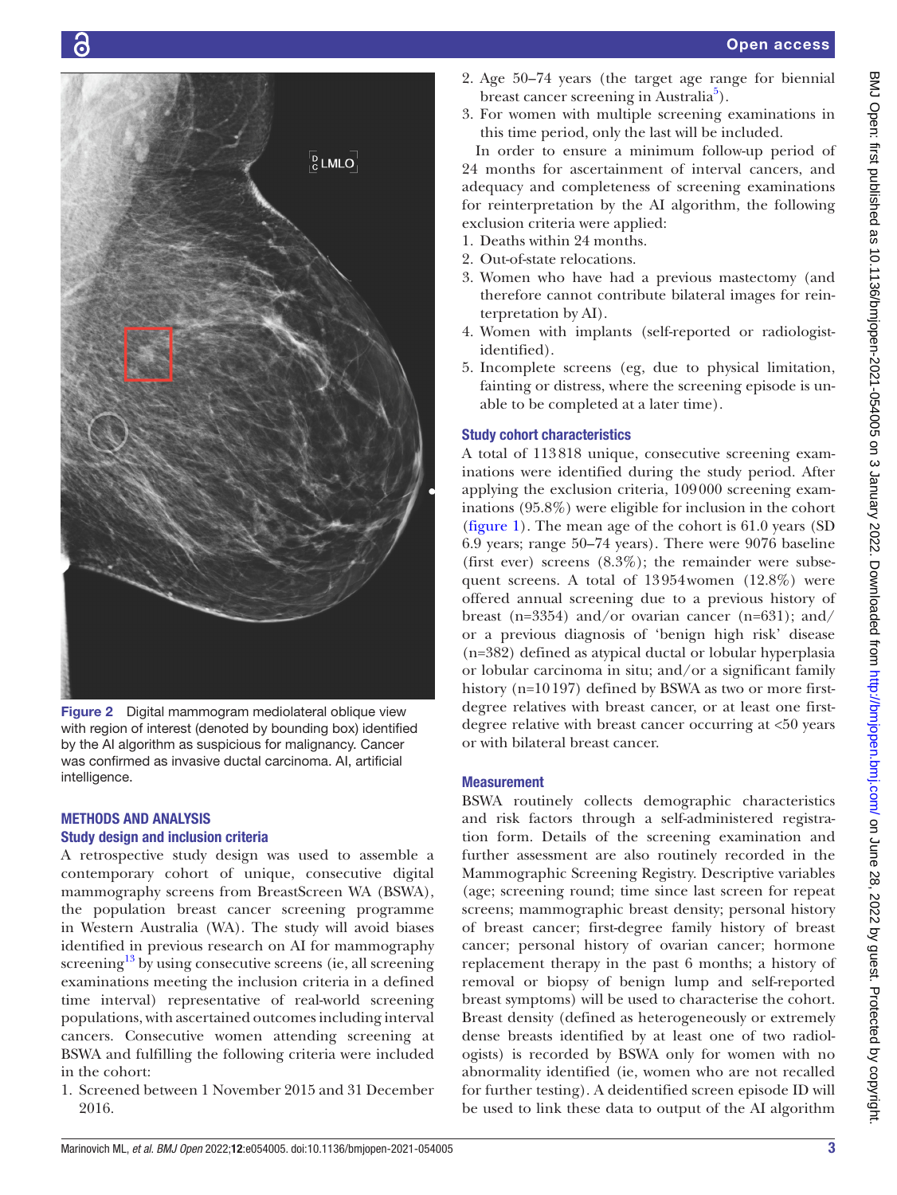

Figure 2 Digital mammogram mediolateral oblique view with region of interest (denoted by bounding box) identified by the AI algorithm as suspicious for malignancy. Cancer was confirmed as invasive ductal carcinoma. AI, artificial intelligence.

# <span id="page-2-0"></span>METHODS AND ANALYSIS Study design and inclusion criteria

A retrospective study design was used to assemble a contemporary cohort of unique, consecutive digital mammography screens from BreastScreen WA (BSWA), the population breast cancer screening programme in Western Australia (WA). The study will avoid biases identified in previous research on AI for mammography screening $13$  by using consecutive screens (ie, all screening examinations meeting the inclusion criteria in a defined time interval) representative of real-world screening populations, with ascertained outcomes including interval cancers. Consecutive women attending screening at BSWA and fulfilling the following criteria were included in the cohort:

1. Screened between 1 November 2015 and 31 December 2016.

- 2. Age 50–74 years (the target age range for biennial breast cancer screening in Australia<sup>[5](#page-6-4)</sup>).
- 3. For women with multiple screening examinations in this time period, only the last will be included.

In order to ensure a minimum follow-up period of 24 months for ascertainment of interval cancers, and adequacy and completeness of screening examinations for reinterpretation by the AI algorithm, the following exclusion criteria were applied:

- 1. Deaths within 24 months.
- 2. Out-of-state relocations.
- 3. Women who have had a previous mastectomy (and therefore cannot contribute bilateral images for reinterpretation by AI).
- 4. Women with implants (self-reported or radiologistidentified).
- 5. Incomplete screens (eg, due to physical limitation, fainting or distress, where the screening episode is unable to be completed at a later time).

# Study cohort characteristics

A total of 113818 unique, consecutive screening examinations were identified during the study period. After applying the exclusion criteria, 109000 screening examinations (95.8%) were eligible for inclusion in the cohort [\(figure](#page-1-0) 1). The mean age of the cohort is 61.0 years (SD 6.9 years; range 50–74 years). There were 9076 baseline (first ever) screens  $(8.3\%)$ ; the remainder were subsequent screens. A total of 13954women (12.8%) were offered annual screening due to a previous history of breast (n=3354) and/or ovarian cancer (n=631); and/ or a previous diagnosis of 'benign high risk' disease (n=382) defined as atypical ductal or lobular hyperplasia or lobular carcinoma in situ; and/or a significant family history (n=10197) defined by BSWA as two or more firstdegree relatives with breast cancer, or at least one firstdegree relative with breast cancer occurring at <50 years or with bilateral breast cancer.

# **Measurement**

BSWA routinely collects demographic characteristics and risk factors through a self-administered registration form. Details of the screening examination and further assessment are also routinely recorded in the Mammographic Screening Registry. Descriptive variables (age; screening round; time since last screen for repeat screens; mammographic breast density; personal history of breast cancer; first-degree family history of breast cancer; personal history of ovarian cancer; hormone replacement therapy in the past 6 months; a history of removal or biopsy of benign lump and self-reported breast symptoms) will be used to characterise the cohort. Breast density (defined as heterogeneously or extremely dense breasts identified by at least one of two radiologists) is recorded by BSWA only for women with no abnormality identified (ie, women who are not recalled for further testing). A deidentified screen episode ID will be used to link these data to output of the AI algorithm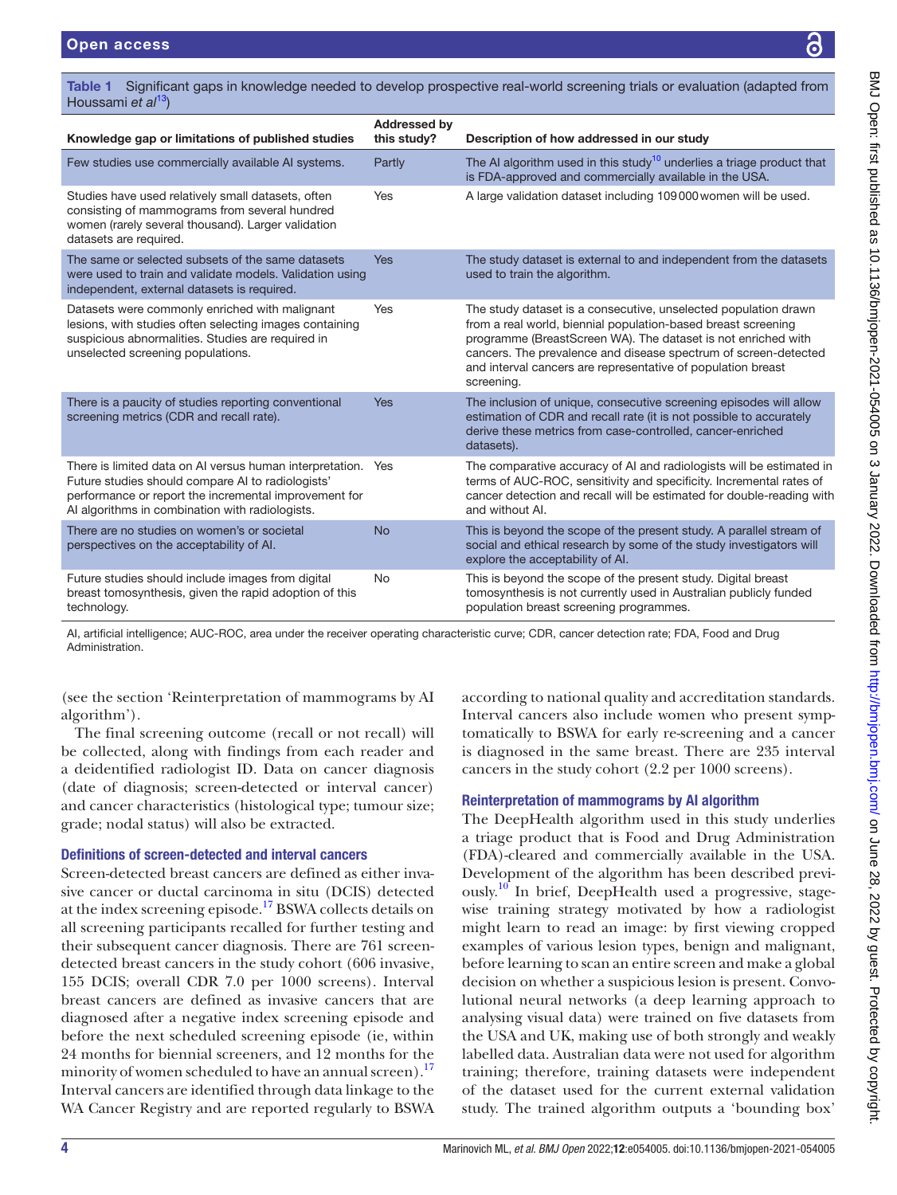BMJ Open: first published as 10.1136/bmjopen-2021-054005 on 3 January 2022. Downloaded from http://bmjopen.bmj.com/ on June 28, 2022 by guest. Protected by copyright BMJ Open: first published as 10.1136/bmjopen-2021-054005 on 3 January 2022. Downloaded from <http://bmjopen.bmj.com/> on June 28, 2022 by guest. Protected by copyright.

<span id="page-3-0"></span>

| Significant gaps in knowledge needed to develop prospective real-world screening trials or evaluation (adapted from<br>Table 1<br>Houssami et $al^{13}$ )                                           |                                    |                                                                                                                                                                                                                                                                                                                                                    |
|-----------------------------------------------------------------------------------------------------------------------------------------------------------------------------------------------------|------------------------------------|----------------------------------------------------------------------------------------------------------------------------------------------------------------------------------------------------------------------------------------------------------------------------------------------------------------------------------------------------|
| Knowledge gap or limitations of published studies                                                                                                                                                   | <b>Addressed by</b><br>this study? | Description of how addressed in our study                                                                                                                                                                                                                                                                                                          |
| Few studies use commercially available AI systems.                                                                                                                                                  | Partly                             | The AI algorithm used in this study <sup>10</sup> underlies a triage product that<br>is FDA-approved and commercially available in the USA.                                                                                                                                                                                                        |
| Studies have used relatively small datasets, often<br>consisting of mammograms from several hundred<br>women (rarely several thousand). Larger validation<br>datasets are required.                 | Yes                                | A large validation dataset including 109000 women will be used.                                                                                                                                                                                                                                                                                    |
| The same or selected subsets of the same datasets<br>were used to train and validate models. Validation using<br>independent, external datasets is required.                                        | <b>Yes</b>                         | The study dataset is external to and independent from the datasets<br>used to train the algorithm.                                                                                                                                                                                                                                                 |
| Datasets were commonly enriched with malignant<br>lesions, with studies often selecting images containing<br>suspicious abnormalities. Studies are required in<br>unselected screening populations. | Yes                                | The study dataset is a consecutive, unselected population drawn<br>from a real world, biennial population-based breast screening<br>programme (BreastScreen WA). The dataset is not enriched with<br>cancers. The prevalence and disease spectrum of screen-detected<br>and interval cancers are representative of population breast<br>screening. |
| There is a pounity of studies reporting conventional                                                                                                                                                | $V_{\Omega}$                       | The inclusion of unique consequitive coroning enjanded will ellow                                                                                                                                                                                                                                                                                  |

There is a paucity of studies reporting conventional screening metrics (CDR and recall rate). Yes The inclusion of unique, consecutive screening episodes will allow estimation of CDR and recall rate (it is not possible to accurately derive these metrics from case-controlled, cancer-enriched datasets). There is limited data on AI versus human interpretation. Future studies should compare AI to radiologists' performance or report the incremental improvement for AI algorithms in combination with radiologists. The comparative accuracy of AI and radiologists will be estimated in terms of AUC-ROC, sensitivity and specificity. Incremental rates of cancer detection and recall will be estimated for double-reading with and without AI. There are no studies on women's or societal perspectives on the acceptability of AI. No This is beyond the scope of the present study. A parallel stream of social and ethical research by some of the study investigators will explore the acceptability of AI. Future studies should include images from digital breast tomosynthesis, given the rapid adoption of this technology. No This is beyond the scope of the present study. Digital breast tomosynthesis is not currently used in Australian publicly funded population breast screening programmes.

AI, artificial intelligence; AUC-ROC, area under the receiver operating characteristic curve; CDR, cancer detection rate; FDA, Food and Drug Administration.

(see the section 'Reinterpretation of mammograms by AI algorithm').

The final screening outcome (recall or not recall) will be collected, along with findings from each reader and a deidentified radiologist ID. Data on cancer diagnosis (date of diagnosis; screen-detected or interval cancer) and cancer characteristics (histological type; tumour size; grade; nodal status) will also be extracted.

## Definitions of screen-detected and interval cancers

Screen-detected breast cancers are defined as either invasive cancer or ductal carcinoma in situ (DCIS) detected at the index screening episode.[17](#page-7-4) BSWA collects details on all screening participants recalled for further testing and their subsequent cancer diagnosis. There are 761 screendetected breast cancers in the study cohort (606 invasive, 155 DCIS; overall CDR 7.0 per 1000 screens). Interval breast cancers are defined as invasive cancers that are diagnosed after a negative index screening episode and before the next scheduled screening episode (ie, within 24 months for biennial screeners, and 12 months for the minority of women scheduled to have an annual screen).<sup>17</sup> Interval cancers are identified through data linkage to the WA Cancer Registry and are reported regularly to BSWA

according to national quality and accreditation standards. Interval cancers also include women who present symptomatically to BSWA for early re-screening and a cancer is diagnosed in the same breast. There are 235 interval cancers in the study cohort (2.2 per 1000 screens).

# Reinterpretation of mammograms by AI algorithm

The DeepHealth algorithm used in this study underlies a triage product that is Food and Drug Administration (FDA)-cleared and commercially available in the USA. Development of the algorithm has been described previously.<sup>10</sup> In brief, DeepHealth used a progressive, stagewise training strategy motivated by how a radiologist might learn to read an image: by first viewing cropped examples of various lesion types, benign and malignant, before learning to scan an entire screen and make a global decision on whether a suspicious lesion is present. Convolutional neural networks (a deep learning approach to analysing visual data) were trained on five datasets from the USA and UK, making use of both strongly and weakly labelled data. Australian data were not used for algorithm training; therefore, training datasets were independent of the dataset used for the current external validation study. The trained algorithm outputs a 'bounding box'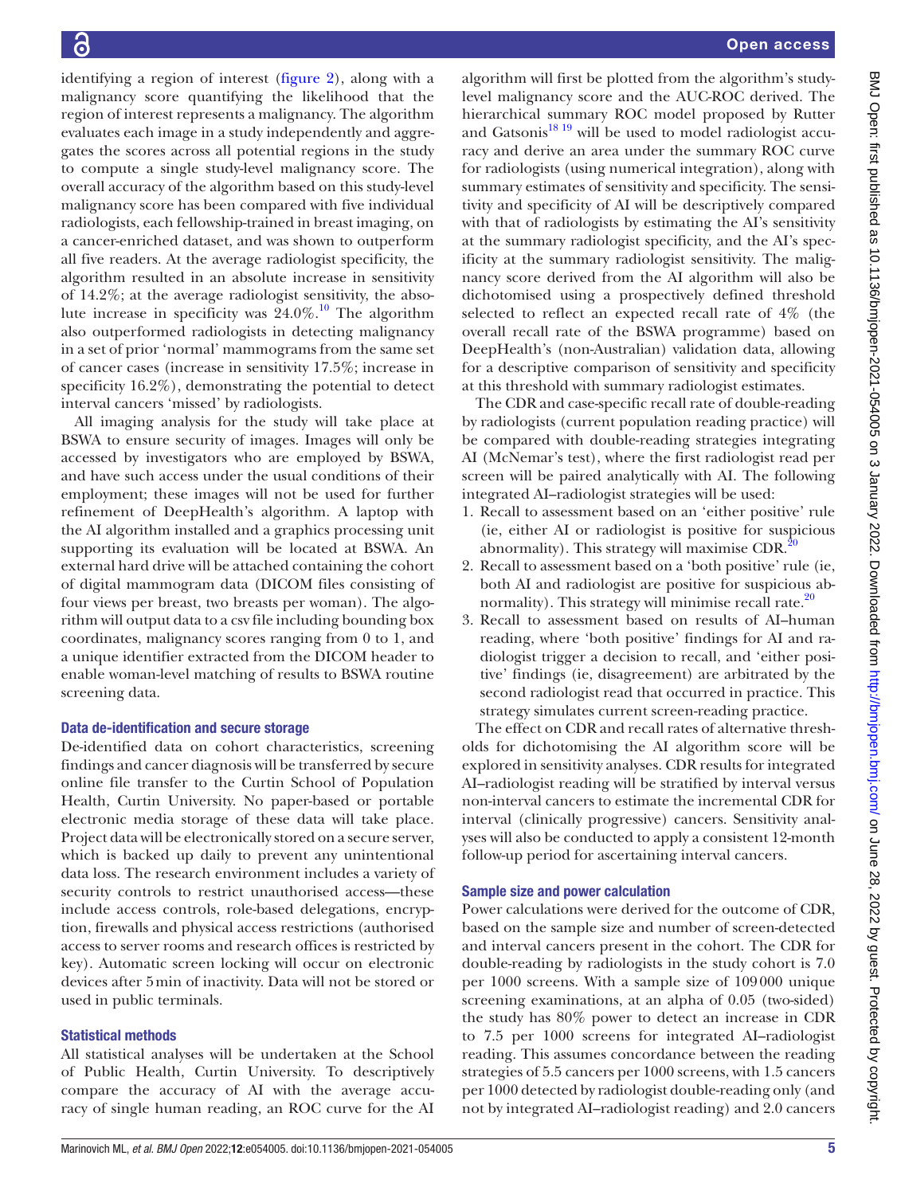identifying a region of interest ([figure](#page-2-0) 2), along with a malignancy score quantifying the likelihood that the region of interest represents a malignancy. The algorithm evaluates each image in a study independently and aggregates the scores across all potential regions in the study to compute a single study-level malignancy score. The overall accuracy of the algorithm based on this study-level malignancy score has been compared with five individual radiologists, each fellowship-trained in breast imaging, on a cancer-enriched dataset, and was shown to outperform all five readers. At the average radiologist specificity, the algorithm resulted in an absolute increase in sensitivity of 14.2%; at the average radiologist sensitivity, the absolute increase in specificity was  $24.0\%$ .<sup>10</sup> The algorithm also outperformed radiologists in detecting malignancy in a set of prior 'normal' mammograms from the same set of cancer cases (increase in sensitivity 17.5%; increase in specificity 16.2%), demonstrating the potential to detect interval cancers 'missed' by radiologists.

All imaging analysis for the study will take place at BSWA to ensure security of images. Images will only be accessed by investigators who are employed by BSWA, and have such access under the usual conditions of their employment; these images will not be used for further refinement of DeepHealth's algorithm. A laptop with the AI algorithm installed and a graphics processing unit supporting its evaluation will be located at BSWA. An external hard drive will be attached containing the cohort of digital mammogram data (DICOM files consisting of four views per breast, two breasts per woman). The algorithm will output data to a csv file including bounding box coordinates, malignancy scores ranging from 0 to 1, and a unique identifier extracted from the DICOM header to enable woman-level matching of results to BSWA routine screening data.

# Data de-identification and secure storage

De-identified data on cohort characteristics, screening findings and cancer diagnosis will be transferred by secure online file transfer to the Curtin School of Population Health, Curtin University. No paper-based or portable electronic media storage of these data will take place. Project data will be electronically stored on a secure server, which is backed up daily to prevent any unintentional data loss. The research environment includes a variety of security controls to restrict unauthorised access—these include access controls, role-based delegations, encryption, firewalls and physical access restrictions (authorised access to server rooms and research offices is restricted by key). Automatic screen locking will occur on electronic devices after 5min of inactivity. Data will not be stored or used in public terminals.

# Statistical methods

All statistical analyses will be undertaken at the School of Public Health, Curtin University. To descriptively compare the accuracy of AI with the average accuracy of single human reading, an ROC curve for the AI

algorithm will first be plotted from the algorithm's studylevel malignancy score and the AUC-ROC derived. The hierarchical summary ROC model proposed by Rutter and Gatsonis<sup>[18 19](#page-7-6)</sup> will be used to model radiologist accuracy and derive an area under the summary ROC curve for radiologists (using numerical integration), along with summary estimates of sensitivity and specificity. The sensitivity and specificity of AI will be descriptively compared with that of radiologists by estimating the AI's sensitivity at the summary radiologist specificity, and the AI's specificity at the summary radiologist sensitivity. The malignancy score derived from the AI algorithm will also be dichotomised using a prospectively defined threshold selected to reflect an expected recall rate of 4% (the overall recall rate of the BSWA programme) based on DeepHealth's (non-Australian) validation data, allowing for a descriptive comparison of sensitivity and specificity at this threshold with summary radiologist estimates.

The CDR and case-specific recall rate of double-reading by radiologists (current population reading practice) will be compared with double-reading strategies integrating AI (McNemar's test), where the first radiologist read per screen will be paired analytically with AI. The following integrated AI–radiologist strategies will be used:

- 1. Recall to assessment based on an 'either positive' rule (ie, either AI or radiologist is positive for suspicious abnormality). This strategy will maximise CDR. $^{20}$  $^{20}$  $^{20}$
- 2. Recall to assessment based on a 'both positive' rule (ie, both AI and radiologist are positive for suspicious abnormality). This strategy will minimise recall rate. $^{20}$
- 3. Recall to assessment based on results of AI–human reading, where 'both positive' findings for AI and radiologist trigger a decision to recall, and 'either positive' findings (ie, disagreement) are arbitrated by the second radiologist read that occurred in practice. This strategy simulates current screen-reading practice.

The effect on CDR and recall rates of alternative thresholds for dichotomising the AI algorithm score will be explored in sensitivity analyses. CDR results for integrated AI–radiologist reading will be stratified by interval versus non-interval cancers to estimate the incremental CDR for interval (clinically progressive) cancers. Sensitivity analyses will also be conducted to apply a consistent 12-month follow-up period for ascertaining interval cancers.

# Sample size and power calculation

Power calculations were derived for the outcome of CDR, based on the sample size and number of screen-detected and interval cancers present in the cohort. The CDR for double-reading by radiologists in the study cohort is 7.0 per 1000 screens. With a sample size of 109000 unique screening examinations, at an alpha of 0.05 (two-sided) the study has 80% power to detect an increase in CDR to 7.5 per 1000 screens for integrated AI–radiologist reading. This assumes concordance between the reading strategies of 5.5 cancers per 1000 screens, with 1.5 cancers per 1000 detected by radiologist double-reading only (and not by integrated AI–radiologist reading) and 2.0 cancers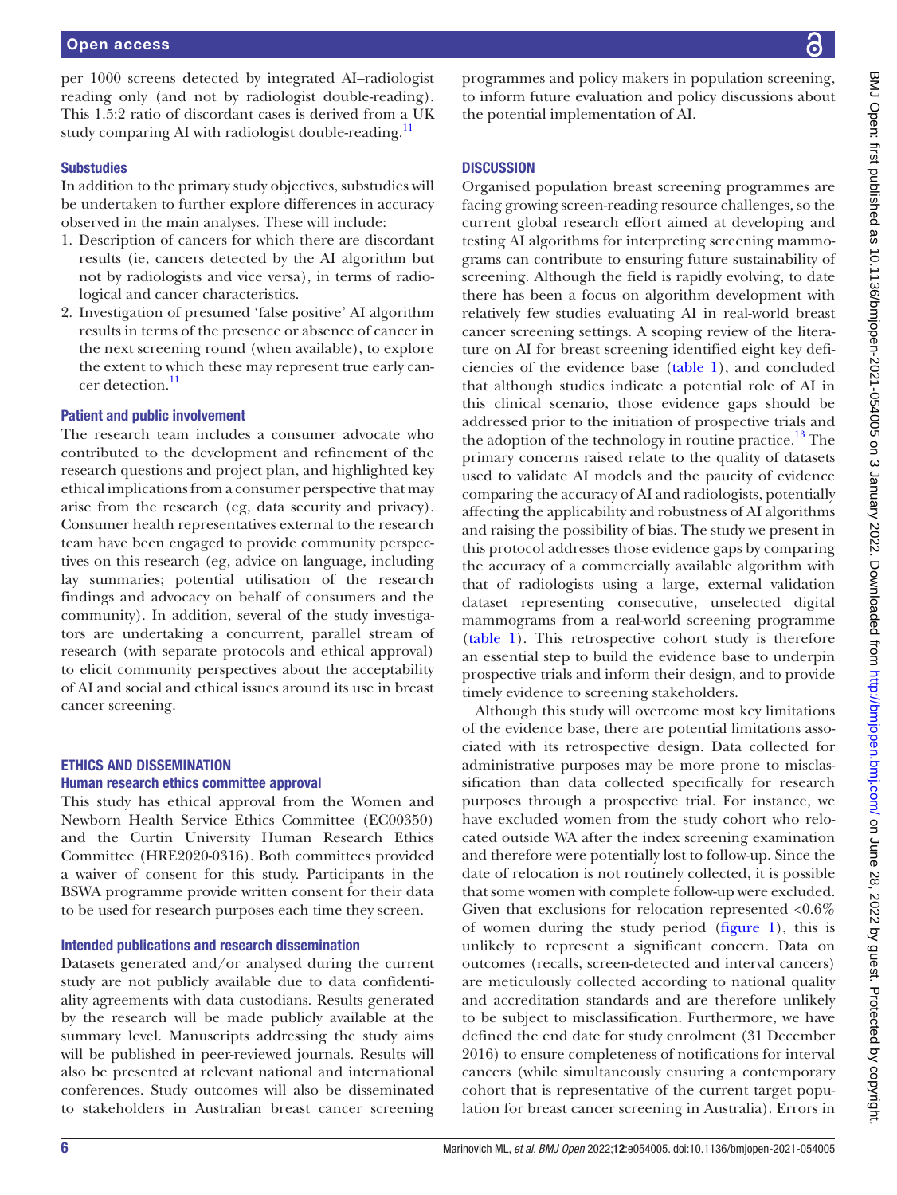per 1000 screens detected by integrated AI–radiologist reading only (and not by radiologist double-reading). This 1.5:2 ratio of discordant cases is derived from a UK study comparing AI with radiologist double-reading.<sup>11</sup>

## **Substudies**

In addition to the primary study objectives, substudies will be undertaken to further explore differences in accuracy observed in the main analyses. These will include:

- 1. Description of cancers for which there are discordant results (ie, cancers detected by the AI algorithm but not by radiologists and vice versa), in terms of radiological and cancer characteristics.
- 2. Investigation of presumed 'false positive' AI algorithm results in terms of the presence or absence of cancer in the next screening round (when available), to explore the extent to which these may represent true early cancer detection.<sup>11</sup>

## Patient and public involvement

The research team includes a consumer advocate who contributed to the development and refinement of the research questions and project plan, and highlighted key ethical implications from a consumer perspective that may arise from the research (eg, data security and privacy). Consumer health representatives external to the research team have been engaged to provide community perspectives on this research (eg, advice on language, including lay summaries; potential utilisation of the research findings and advocacy on behalf of consumers and the community). In addition, several of the study investigators are undertaking a concurrent, parallel stream of research (with separate protocols and ethical approval) to elicit community perspectives about the acceptability of AI and social and ethical issues around its use in breast cancer screening.

## ETHICS AND DISSEMINATION Human research ethics committee approval

This study has ethical approval from the Women and Newborn Health Service Ethics Committee (EC00350) and the Curtin University Human Research Ethics Committee (HRE2020-0316). Both committees provided a waiver of consent for this study. Participants in the BSWA programme provide written consent for their data to be used for research purposes each time they screen.

## Intended publications and research dissemination

Datasets generated and/or analysed during the current study are not publicly available due to data confidentiality agreements with data custodians. Results generated by the research will be made publicly available at the summary level. Manuscripts addressing the study aims will be published in peer-reviewed journals. Results will also be presented at relevant national and international conferences. Study outcomes will also be disseminated to stakeholders in Australian breast cancer screening

programmes and policy makers in population screening, to inform future evaluation and policy discussions about the potential implementation of AI.

## **DISCUSSION**

Organised population breast screening programmes are facing growing screen-reading resource challenges, so the current global research effort aimed at developing and testing AI algorithms for interpreting screening mammograms can contribute to ensuring future sustainability of screening. Although the field is rapidly evolving, to date there has been a focus on algorithm development with relatively few studies evaluating AI in real-world breast cancer screening settings. A scoping review of the literature on AI for breast screening identified eight key deficiencies of the evidence base [\(table](#page-3-0) 1), and concluded that although studies indicate a potential role of AI in this clinical scenario, those evidence gaps should be addressed prior to the initiation of prospective trials and the adoption of the technology in routine practice.<sup>13</sup> The primary concerns raised relate to the quality of datasets used to validate AI models and the paucity of evidence comparing the accuracy of AI and radiologists, potentially affecting the applicability and robustness of AI algorithms and raising the possibility of bias. The study we present in this protocol addresses those evidence gaps by comparing the accuracy of a commercially available algorithm with that of radiologists using a large, external validation dataset representing consecutive, unselected digital mammograms from a real-world screening programme [\(table](#page-3-0) 1). This retrospective cohort study is therefore an essential step to build the evidence base to underpin prospective trials and inform their design, and to provide timely evidence to screening stakeholders.

Although this study will overcome most key limitations of the evidence base, there are potential limitations associated with its retrospective design. Data collected for administrative purposes may be more prone to misclassification than data collected specifically for research purposes through a prospective trial. For instance, we have excluded women from the study cohort who relocated outside WA after the index screening examination and therefore were potentially lost to follow-up. Since the date of relocation is not routinely collected, it is possible that some women with complete follow-up were excluded. Given that exclusions for relocation represented  $<0.6\%$ of women during the study period ([figure](#page-1-0) 1), this is unlikely to represent a significant concern. Data on outcomes (recalls, screen-detected and interval cancers) are meticulously collected according to national quality and accreditation standards and are therefore unlikely to be subject to misclassification. Furthermore, we have defined the end date for study enrolment (31 December 2016) to ensure completeness of notifications for interval cancers (while simultaneously ensuring a contemporary cohort that is representative of the current target population for breast cancer screening in Australia). Errors in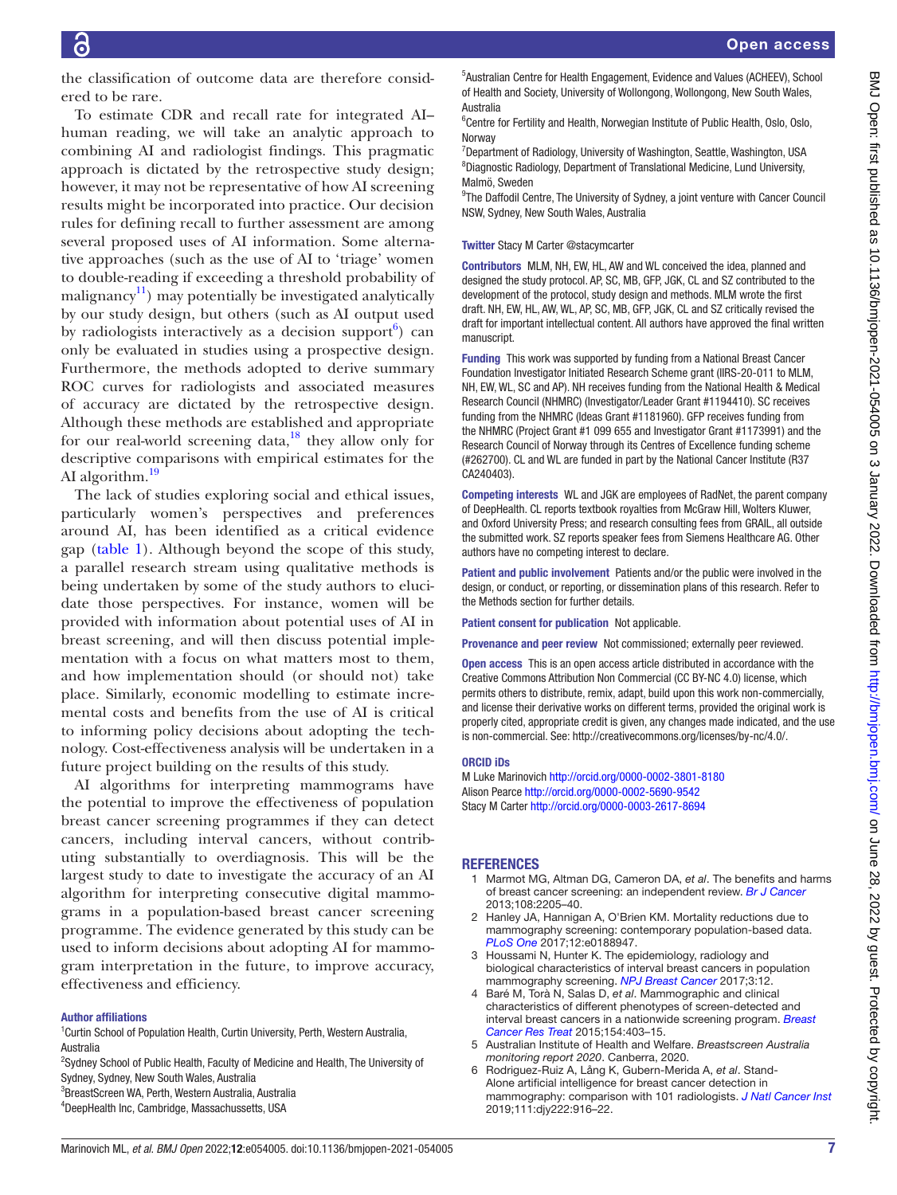BMJ Open: first published as 10.1136/bmjopen-2021-054005 on 3 January 2022. Downloaded from http://bmjopen.bmj.com/ on June 28, 2022 by guest. Protected by copyright BMJ Open: first published as 10.1136/bmjopen-2021-054005 on 3 January 2022. Downloaded from <http://bmjopen.bmj.com/> on June 28, 2022 by guest. Protected by copyright.

the classification of outcome data are therefore considered to be rare.

To estimate CDR and recall rate for integrated AI– human reading, we will take an analytic approach to combining AI and radiologist findings. This pragmatic approach is dictated by the retrospective study design; however, it may not be representative of how AI screening results might be incorporated into practice. Our decision rules for defining recall to further assessment are among several proposed uses of AI information. Some alternative approaches (such as the use of AI to 'triage' women to double-reading if exceeding a threshold probability of malignancy<sup>11</sup>) may potentially be investigated analytically by our study design, but others (such as AI output used by radiologists interactively as a decision support $6$ ) can only be evaluated in studies using a prospective design. Furthermore, the methods adopted to derive summary ROC curves for radiologists and associated measures of accuracy are dictated by the retrospective design. Although these methods are established and appropriate for our real-world screening data, $^{18}$  they allow only for descriptive comparisons with empirical estimates for the AI algorithm.<sup>[19](#page-7-9)</sup>

The lack of studies exploring social and ethical issues, particularly women's perspectives and preferences around AI, has been identified as a critical evidence gap [\(table](#page-3-0) 1). Although beyond the scope of this study, a parallel research stream using qualitative methods is being undertaken by some of the study authors to elucidate those perspectives. For instance, women will be provided with information about potential uses of AI in breast screening, and will then discuss potential implementation with a focus on what matters most to them, and how implementation should (or should not) take place. Similarly, economic modelling to estimate incremental costs and benefits from the use of AI is critical to informing policy decisions about adopting the technology. Cost-effectiveness analysis will be undertaken in a future project building on the results of this study.

AI algorithms for interpreting mammograms have the potential to improve the effectiveness of population breast cancer screening programmes if they can detect cancers, including interval cancers, without contributing substantially to overdiagnosis. This will be the largest study to date to investigate the accuracy of an AI algorithm for interpreting consecutive digital mammograms in a population-based breast cancer screening programme. The evidence generated by this study can be used to inform decisions about adopting AI for mammogram interpretation in the future, to improve accuracy, effectiveness and efficiency.

#### Author affiliations

<sup>1</sup> Curtin School of Population Health, Curtin University, Perth, Western Australia, Australia

- <sup>2</sup>Sydney School of Public Health, Faculty of Medicine and Health, The University of Sydney, Sydney, New South Wales, Australia
- 3 BreastScreen WA, Perth, Western Australia, Australia
- 4 DeepHealth Inc, Cambridge, Massachussetts, USA

5 Australian Centre for Health Engagement, Evidence and Values (ACHEEV), School of Health and Society, University of Wollongong, Wollongong, New South Wales, Australia

<sup>6</sup> Centre for Fertility and Health, Norwegian Institute of Public Health, Oslo, Oslo, Norway

<sup>7</sup>Department of Radiology, University of Washington, Seattle, Washington, USA 8 Diagnostic Radiology, Department of Translational Medicine, Lund University, Malmö, Sweden

<sup>9</sup>The Daffodil Centre, The University of Sydney, a joint venture with Cancer Council NSW, Sydney, New South Wales, Australia

### Twitter Stacy M Carter [@stacymcarter](https://twitter.com/stacymcarter)

Contributors MLM, NH, EW, HL, AW and WL conceived the idea, planned and designed the study protocol. AP, SC, MB, GFP, JGK, CL and SZ contributed to the development of the protocol, study design and methods. MLM wrote the first draft. NH, EW, HL, AW, WL, AP, SC, MB, GFP, JGK, CL and SZ critically revised the draft for important intellectual content. All authors have approved the final written manuscript.

Funding This work was supported by funding from a National Breast Cancer Foundation Investigator Initiated Research Scheme grant (IIRS-20-011 to MLM, NH, EW, WL, SC and AP). NH receives funding from the National Health & Medical Research Council (NHMRC) (Investigator/Leader Grant #1194410). SC receives funding from the NHMRC (Ideas Grant #1181960). GFP receives funding from the NHMRC (Project Grant #1 099 655 and Investigator Grant #1173991) and the Research Council of Norway through its Centres of Excellence funding scheme (#262700). CL and WL are funded in part by the National Cancer Institute (R37 CA240403).

Competing interests WL and JGK are employees of RadNet, the parent company of DeepHealth. CL reports textbook royalties from McGraw Hill, Wolters Kluwer, and Oxford University Press; and research consulting fees from GRAIL, all outside the submitted work. SZ reports speaker fees from Siemens Healthcare AG. Other authors have no competing interest to declare.

Patient and public involvement Patients and/or the public were involved in the design, or conduct, or reporting, or dissemination plans of this research. Refer to the Methods section for further details.

Patient consent for publication Not applicable.

Provenance and peer review Not commissioned; externally peer reviewed.

**Open access** This is an open access article distributed in accordance with the Creative Commons Attribution Non Commercial (CC BY-NC 4.0) license, which permits others to distribute, remix, adapt, build upon this work non-commercially, and license their derivative works on different terms, provided the original work is properly cited, appropriate credit is given, any changes made indicated, and the use is non-commercial. See: [http://creativecommons.org/licenses/by-nc/4.0/.](http://creativecommons.org/licenses/by-nc/4.0/)

#### ORCID iDs

M Luke Marinovich<http://orcid.org/0000-0002-3801-8180> Alison Pearce <http://orcid.org/0000-0002-5690-9542> Stacy M Carter<http://orcid.org/0000-0003-2617-8694>

## **REFERENCES**

- <span id="page-6-0"></span>1 Marmot MG, Altman DG, Cameron DA, *et al*. The benefits and harms of breast cancer screening: an independent review. *[Br J Cancer](http://dx.doi.org/10.1038/bjc.2013.177)* 2013;108:2205–40.
- <span id="page-6-1"></span>2 Hanley JA, Hannigan A, O'Brien KM. Mortality reductions due to mammography screening: contemporary population-based data. *[PLoS One](http://dx.doi.org/10.1371/journal.pone.0188947)* 2017;12:e0188947.
- <span id="page-6-2"></span>3 Houssami N, Hunter K. The epidemiology, radiology and biological characteristics of interval breast cancers in population mammography screening. *[NPJ Breast Cancer](http://dx.doi.org/10.1038/s41523-017-0014-x)* 2017;3:12.
- <span id="page-6-3"></span>4 Baré M, Torà N, Salas D, *et al*. Mammographic and clinical characteristics of different phenotypes of screen-detected and interval breast cancers in a nationwide screening program. *[Breast](http://dx.doi.org/10.1007/s10549-015-3623-9)  [Cancer Res Treat](http://dx.doi.org/10.1007/s10549-015-3623-9)* 2015;154:403–15.
- <span id="page-6-4"></span>5 Australian Institute of Health and Welfare. *Breastscreen Australia monitoring report 2020*. Canberra, 2020.
- <span id="page-6-5"></span>6 Rodriguez-Ruiz A, Lång K, Gubern-Merida A, *et al*. Stand-Alone artificial intelligence for breast cancer detection in mammography: comparison with 101 radiologists. *[J Natl Cancer Inst](http://dx.doi.org/10.1093/jnci/djy222)* 2019;111:djy222:916–22.